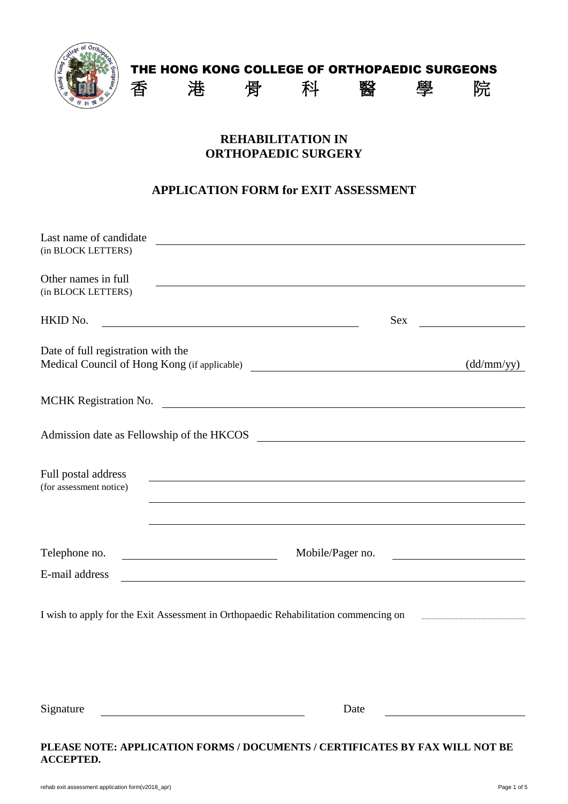

# THE HONG KONG COLLEGE OF ORTHOPAEDIC SURGEONS 香 港 骨 科 醫 學 院

### **REHABILITATION IN ORTHOPAEDIC SURGERY**

### **APPLICATION FORM for EXIT ASSESSMENT**

| Last name of candidate<br>(in BLOCK LETTERS)                                                                                            |                                                                                                                                                                                                                                      |            |
|-----------------------------------------------------------------------------------------------------------------------------------------|--------------------------------------------------------------------------------------------------------------------------------------------------------------------------------------------------------------------------------------|------------|
| Other names in full<br>(in BLOCK LETTERS)                                                                                               |                                                                                                                                                                                                                                      |            |
| HKID No.                                                                                                                                | <b>Sex</b>                                                                                                                                                                                                                           |            |
| Date of full registration with the<br>Medical Council of Hong Kong (if applicable) ___________________________________                  |                                                                                                                                                                                                                                      | (dd/mm/yy) |
| MCHK Registration No.                                                                                                                   | <u> 1989 - Johann Stoff, deutscher Stoffen und der Stoffen und der Stoffen und der Stoffen und der Stoffen und der Stoffen und der Stoffen und der Stoffen und der Stoffen und der Stoffen und der Stoffen und der Stoffen und d</u> |            |
| Admission date as Fellowship of the HKCOS                                                                                               | <u> 1980 - Johann Barbara, martxa alemaniar arg</u>                                                                                                                                                                                  |            |
| Full postal address<br>(for assessment notice)                                                                                          |                                                                                                                                                                                                                                      |            |
|                                                                                                                                         |                                                                                                                                                                                                                                      |            |
| Telephone no.                                                                                                                           | Mobile/Pager no.                                                                                                                                                                                                                     |            |
| E-mail address<br><u> 1989 - Johann Harry Harry Harry Harry Harry Harry Harry Harry Harry Harry Harry Harry Harry Harry Harry Harry</u> |                                                                                                                                                                                                                                      |            |
| I wish to apply for the Exit Assessment in Orthopaedic Rehabilitation commencing on                                                     |                                                                                                                                                                                                                                      |            |
|                                                                                                                                         |                                                                                                                                                                                                                                      |            |
|                                                                                                                                         |                                                                                                                                                                                                                                      |            |
| Signature                                                                                                                               | Date                                                                                                                                                                                                                                 |            |

#### **PLEASE NOTE: APPLICATION FORMS / DOCUMENTS / CERTIFICATES BY FAX WILL NOT BE ACCEPTED.**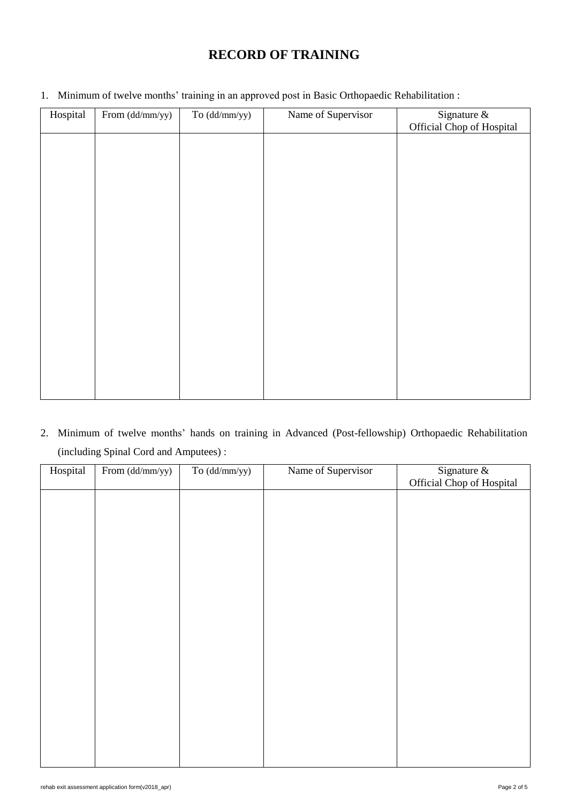## **RECORD OF TRAINING**

| Hospital | From (dd/mm/yy) | $To (dd/mm/yy)$ | Name of Supervisor | Signature &<br>Official Chop of Hospital |
|----------|-----------------|-----------------|--------------------|------------------------------------------|
|          |                 |                 |                    |                                          |
|          |                 |                 |                    |                                          |
|          |                 |                 |                    |                                          |
|          |                 |                 |                    |                                          |
|          |                 |                 |                    |                                          |
|          |                 |                 |                    |                                          |
|          |                 |                 |                    |                                          |
|          |                 |                 |                    |                                          |
|          |                 |                 |                    |                                          |
|          |                 |                 |                    |                                          |
|          |                 |                 |                    |                                          |

1. Minimum of twelve months' training in an approved post in Basic Orthopaedic Rehabilitation :

2. Minimum of twelve months' hands on training in Advanced (Post-fellowship) Orthopaedic Rehabilitation (including Spinal Cord and Amputees) :

| Hospital | From (dd/mm/yy) | $To (dd/mm/yy)$ | Name of Supervisor | Signature $\&$            |
|----------|-----------------|-----------------|--------------------|---------------------------|
|          |                 |                 |                    | Official Chop of Hospital |
|          |                 |                 |                    |                           |
|          |                 |                 |                    |                           |
|          |                 |                 |                    |                           |
|          |                 |                 |                    |                           |
|          |                 |                 |                    |                           |
|          |                 |                 |                    |                           |
|          |                 |                 |                    |                           |
|          |                 |                 |                    |                           |
|          |                 |                 |                    |                           |
|          |                 |                 |                    |                           |
|          |                 |                 |                    |                           |
|          |                 |                 |                    |                           |
|          |                 |                 |                    |                           |
|          |                 |                 |                    |                           |
|          |                 |                 |                    |                           |
|          |                 |                 |                    |                           |
|          |                 |                 |                    |                           |
|          |                 |                 |                    |                           |
|          |                 |                 |                    |                           |
|          |                 |                 |                    |                           |
|          |                 |                 |                    |                           |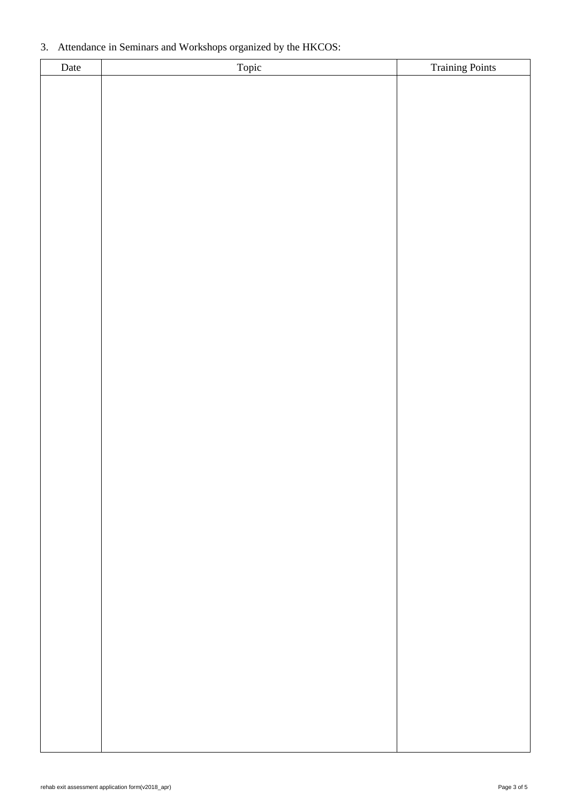#### 3. Attendance in Seminars and Workshops organized by the HKCOS:

| Date | Topic | Training Points |
|------|-------|-----------------|
|      |       |                 |
|      |       |                 |
|      |       |                 |
|      |       |                 |
|      |       |                 |
|      |       |                 |
|      |       |                 |
|      |       |                 |
|      |       |                 |
|      |       |                 |
|      |       |                 |
|      |       |                 |
|      |       |                 |
|      |       |                 |
|      |       |                 |
|      |       |                 |
|      |       |                 |
|      |       |                 |
|      |       |                 |
|      |       |                 |
|      |       |                 |
|      |       |                 |
|      |       |                 |
|      |       |                 |
|      |       |                 |
|      |       |                 |
|      |       |                 |
|      |       |                 |
|      |       |                 |
|      |       |                 |
|      |       |                 |
|      |       |                 |
|      |       |                 |
|      |       |                 |
|      |       |                 |
|      |       |                 |
|      |       |                 |
|      |       |                 |
|      |       |                 |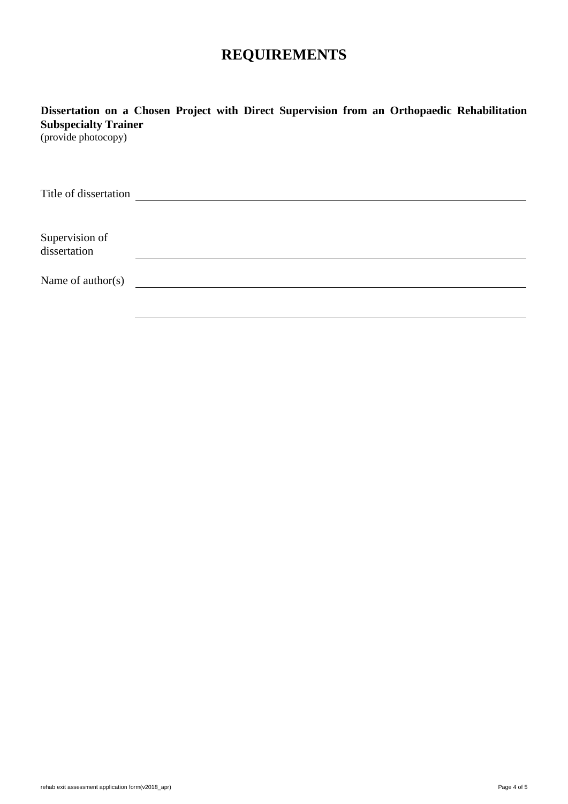# **REQUIREMENTS**

**Dissertation on a Chosen Project with Direct Supervision from an Orthopaedic Rehabilitation Subspecialty Trainer**

(provide photocopy)

| Title of dissertation          |  |  |  |
|--------------------------------|--|--|--|
|                                |  |  |  |
| Supervision of<br>dissertation |  |  |  |
| Name of $\text{author}(s)$     |  |  |  |
|                                |  |  |  |